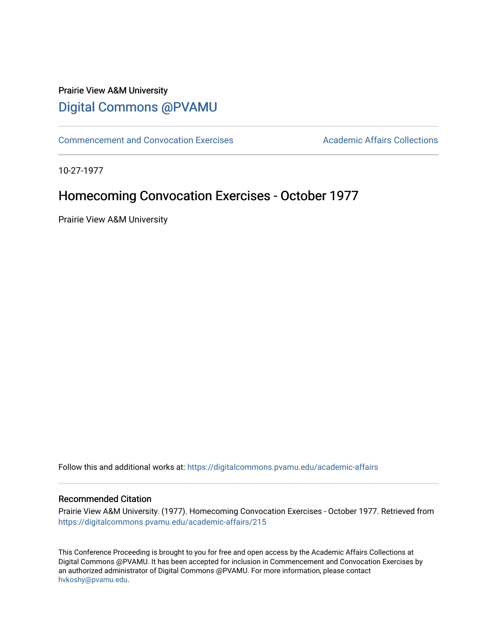# Prairie View A&M University [Digital Commons @PVAMU](https://digitalcommons.pvamu.edu/)

[Commencement and Convocation Exercises](https://digitalcommons.pvamu.edu/academic-affairs) **Academic Affairs Collections** 

10-27-1977

# Homecoming Convocation Exercises - October 1977

Prairie View A&M University

Follow this and additional works at: [https://digitalcommons.pvamu.edu/academic-affairs](https://digitalcommons.pvamu.edu/academic-affairs?utm_source=digitalcommons.pvamu.edu%2Facademic-affairs%2F215&utm_medium=PDF&utm_campaign=PDFCoverPages)

### Recommended Citation

Prairie View A&M University. (1977). Homecoming Convocation Exercises - October 1977. Retrieved from [https://digitalcommons.pvamu.edu/academic-affairs/215](https://digitalcommons.pvamu.edu/academic-affairs/215?utm_source=digitalcommons.pvamu.edu%2Facademic-affairs%2F215&utm_medium=PDF&utm_campaign=PDFCoverPages)

This Conference Proceeding is brought to you for free and open access by the Academic Affairs Collections at Digital Commons @PVAMU. It has been accepted for inclusion in Commencement and Convocation Exercises by an authorized administrator of Digital Commons @PVAMU. For more information, please contact [hvkoshy@pvamu.edu](mailto:hvkoshy@pvamu.edu).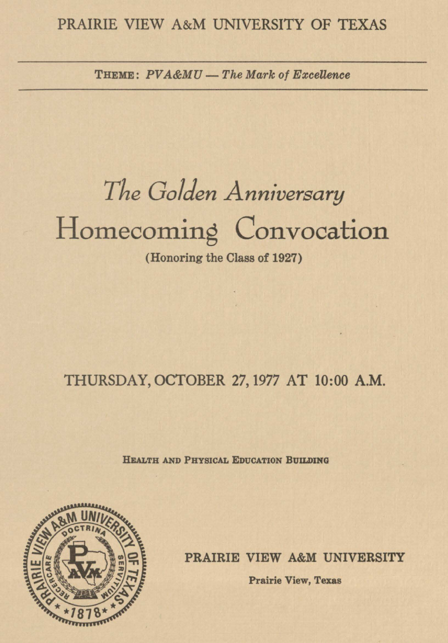## PRAIRIE VIEW A&M UNIVERSITY OF TEXAS

THEME:  $PVA\&MU$  - The Mark of Excellence

*The Golden Anniversary* 

Homecoming Convocation

(Honoring the Class of 1927)

## THURSDAY, OCTOBER 27, 1977 AT 10:00 **A.M.**

**HEALTH AND PHYSICAL EDUCATION BUILDING** 



**PRAIRIE VIEW A&M UNIVERSITY** 

**Prairie View, Texas**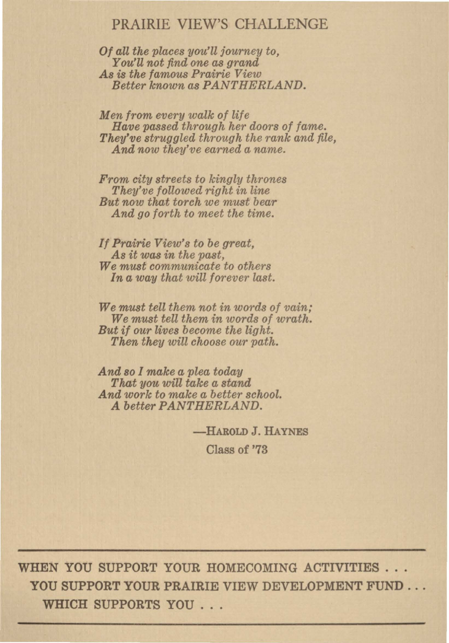## PRAIRIE VIEW'S CHALLENGE

*Of all the places you'll journey to, You'll not find one as grand As* is *the famous Prairie View Better known as PANTHERLAND.* 

*Men from every walk of life Have passed through her doors of fame. They've struggled through the rank and file, And now they've earned a name.* 

*From city streets to kingly thrones They've followed right in line But now that torch we must bear And go forth to meet the time.* 

*If Prairie View's to be great, As it was in the past, We must communicate to others In a way that will for ever last.* 

*We must tell them not in words of vain; We must tell them in words of wrath. But if our lives become the light. Then they will choose our path.* 

*And so I make a plea today That you will take a stand And work to make a better school. A better PANTHERLAND.* 

**-HAROLD** J. **HAYNES** 

Class of '73

WHEN YOU SUPPORT YOUR HOMECOMING ACTIVITIES ... YOU SUPPORT YOUR PRAIRIE VIEW DEVELOPMENT FUND ... WHICH SUPPORTS YOU . . .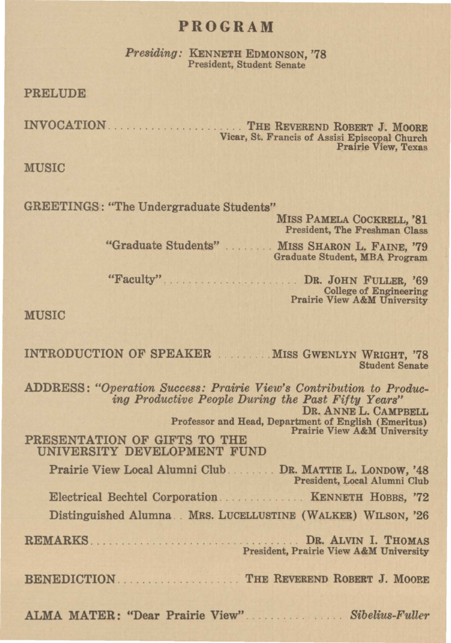## **PROGRAM**

*Presiding:* KENNETH EDMONSON, '78 President, Student Senate

PRELUDE

INVOCATION **Subset 1. 1999** The Reverend Robert J. Moore Vicar, St. Francis of Assisi Episcopal Church Prairie View, Texas

**MUSIC** 

GREETINGS: "The Undergraduate Students"

MISS PAMELA COCKRELL, '81 President, The Freshman Class

"Graduate Students" MISS SHARON L. FAINE, '79 Graduate Student, MBA Program

"Faculty'' . . . . . . . . . . . . . . . . . ... DR. JOHN FULLER, '69 **Prairie View A&M University** 

**MUSIC** 

INTRODUCTION OF SPEAKER ........ MISS GWENLYN WRIGHT, '78 Student Senate ADDRESS: *"Operation Success: Prairie View's Contribution to Producing Productive People During the Past Fifty Years"*  DR. ANNE L. CAMPBELL Professor and Head, Department of English (Emeritus) PRESENTATION OF GIFTS TO THE UNIVERSITY DEVELOPMENT FUND Prairie View Local Alumni Club DR. MATTIE L. LONDOW, '48 President, Local Alumni Club Electrical Bechtel Corporation . . . . . . KENNETH HOBBS, '72 Distinguished Alumna .. MRS. LUCELLUSTINE (WALKER) WILSON, '26 **REMARKS .** . . . . . . . . . . . . . . . . . . . . . . . . . . . . . . . DR. ALVIN I. THOMAS President, Prairie View A&M University BENEDICTION ............... . THE REVEREND ROBERT J. MOORE ALMA MATER: "Dear Prairie View" . *Sibelius-Fuller*